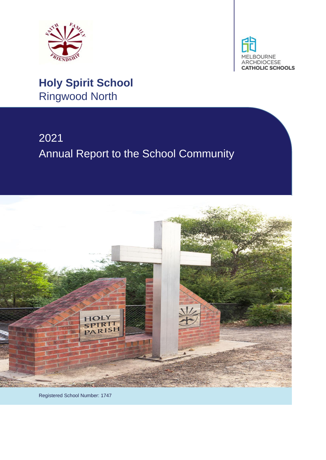



# **Holy Spirit School** Ringwood North

# 2021 Annual Report to the School Community



Registered School Number: 1747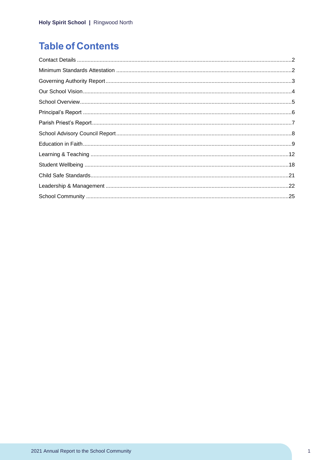# **Table of Contents**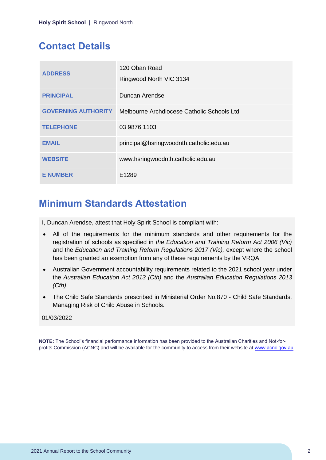# <span id="page-2-0"></span>**Contact Details**

| <b>ADDRESS</b>             | 120 Oban Road<br>Ringwood North VIC 3134   |
|----------------------------|--------------------------------------------|
| <b>PRINCIPAL</b>           | Duncan Arendse                             |
| <b>GOVERNING AUTHORITY</b> | Melbourne Archdiocese Catholic Schools Ltd |
| <b>TELEPHONE</b>           | 03 9876 1103                               |
| <b>EMAIL</b>               | principal@hsringwoodnth.catholic.edu.au    |
| <b>WEBSITE</b>             | www.hsringwoodnth.catholic.edu.au          |
| <b>E NUMBER</b>            | E1289                                      |

### <span id="page-2-1"></span>**Minimum Standards Attestation**

I, Duncan Arendse, attest that Holy Spirit School is compliant with:

- All of the requirements for the minimum standards and other requirements for the registration of schools as specified in *the Education and Training Reform Act 2006 (Vic)* and the *Education and Training Reform Regulations 2017 (Vic),* except where the school has been granted an exemption from any of these requirements by the VRQA
- Australian Government accountability requirements related to the 2021 school year under the *Australian Education Act 2013 (Cth)* and the *Australian Education Regulations 2013 (Cth)*
- The Child Safe Standards prescribed in Ministerial Order No.870 Child Safe Standards, Managing Risk of Child Abuse in Schools.

#### 01/03/2022

**NOTE:** The School's financial performance information has been provided to the Australian Charities and Not-forprofits Commission (ACNC) and will be available for the community to access from their website at [www.acnc.gov.au](http://www.acnc.gov.au/)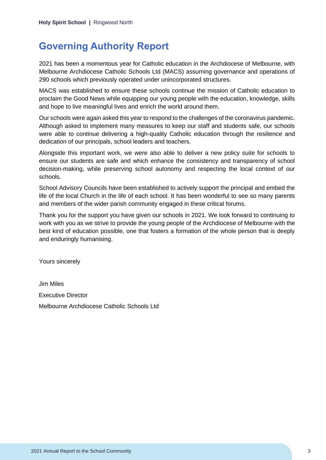### <span id="page-3-0"></span>**Governing Authority Report**

2021 has been a momentous year for Catholic education in the Archdiocese of Melbourne, with Melbourne Archdiocese Catholic Schools Ltd (MACS) assuming governance and operations of 290 schools which previously operated under unincorporated structures.

MACS was established to ensure these schools continue the mission of Catholic education to proclaim the Good News while equipping our young people with the education, knowledge, skills and hope to live meaningful lives and enrich the world around them.

Our schools were again asked this year to respond to the challenges of the coronavirus pandemic. Although asked to implement many measures to keep our staff and students safe, our schools were able to continue delivering a high-quality Catholic education through the resilience and dedication of our principals, school leaders and teachers.

Alongside this important work, we were also able to deliver a new policy suite for schools to ensure our students are safe and which enhance the consistency and transparency of school decision-making, while preserving school autonomy and respecting the local context of our schools.

School Advisory Councils have been established to actively support the principal and embed the life of the local Church in the life of each school. It has been wonderful to see so many parents and members of the wider parish community engaged in these critical forums.

Thank you for the support you have given our schools in 2021. We look forward to continuing to work with you as we strive to provide the young people of the Archdiocese of Melbourne with the best kind of education possible, one that fosters a formation of the whole person that is deeply and enduringly humanising.

Yours sincerely

Jim Miles Executive Director Melbourne Archdiocese Catholic Schools Ltd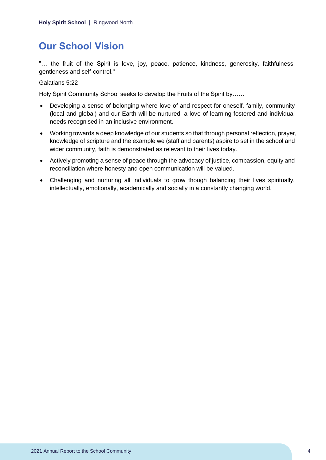# <span id="page-4-0"></span>**Our School Vision**

"… the fruit of the Spirit is love, joy, peace, patience, kindness, generosity, faithfulness, gentleness and self-control."

Galatians 5:22

Holy Spirit Community School seeks to develop the Fruits of the Spirit by……

- Developing a sense of belonging where love of and respect for oneself, family, community (local and global) and our Earth will be nurtured, a love of learning fostered and individual needs recognised in an inclusive environment.
- Working towards a deep knowledge of our students so that through personal reflection, prayer, knowledge of scripture and the example we (staff and parents) aspire to set in the school and wider community, faith is demonstrated as relevant to their lives today.
- Actively promoting a sense of peace through the advocacy of justice, compassion, equity and reconciliation where honesty and open communication will be valued.
- Challenging and nurturing all individuals to grow though balancing their lives spiritually, intellectually, emotionally, academically and socially in a constantly changing world.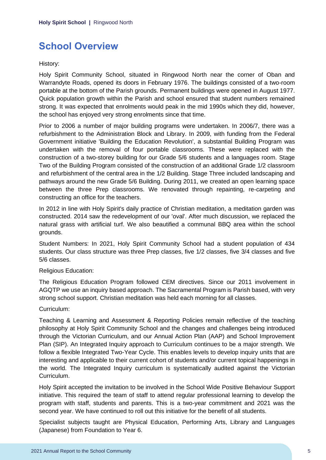# <span id="page-5-0"></span>**School Overview**

History:

Holy Spirit Community School, situated in Ringwood North near the corner of Oban and Warrandyte Roads, opened its doors in February 1976. The buildings consisted of a two-room portable at the bottom of the Parish grounds. Permanent buildings were opened in August 1977. Quick population growth within the Parish and school ensured that student numbers remained strong. It was expected that enrolments would peak in the mid 1990s which they did, however, the school has enjoyed very strong enrolments since that time.

Prior to 2006 a number of major building programs were undertaken. In 2006/7, there was a refurbishment to the Administration Block and Library. In 2009, with funding from the Federal Government initiative 'Building the Education Revolution', a substantial Building Program was undertaken with the removal of four portable classrooms. These were replaced with the construction of a two-storey building for our Grade 5/6 students and a languages room. Stage Two of the Building Program consisted of the construction of an additional Grade 1/2 classroom and refurbishment of the central area in the 1/2 Building. Stage Three included landscaping and pathways around the new Grade 5/6 Building. During 2011, we created an open learning space between the three Prep classrooms. We renovated through repainting, re-carpeting and constructing an office for the teachers.

In 2012 in line with Holy Spirit's daily practice of Christian meditation, a meditation garden was constructed. 2014 saw the redevelopment of our 'oval'. After much discussion, we replaced the natural grass with artificial turf. We also beautified a communal BBQ area within the school grounds.

Student Numbers: In 2021, Holy Spirit Community School had a student population of 434 students. Our class structure was three Prep classes, five 1/2 classes, five 3/4 classes and five 5/6 classes.

#### Religious Education:

The Religious Education Program followed CEM directives. Since our 2011 involvement in AGQTP we use an inquiry based approach. The Sacramental Program is Parish based, with very strong school support. Christian meditation was held each morning for all classes.

#### Curriculum:

Teaching & Learning and Assessment & Reporting Policies remain reflective of the teaching philosophy at Holy Spirit Community School and the changes and challenges being introduced through the Victorian Curriculum, and our Annual Action Plan (AAP) and School Improvement Plan (SIP). An Integrated Inquiry approach to Curriculum continues to be a major strength. We follow a flexible Integrated Two-Year Cycle. This enables levels to develop inquiry units that are interesting and applicable to their current cohort of students and/or current topical happenings in the world. The Integrated Inquiry curriculum is systematically audited against the Victorian Curriculum.

Holy Spirit accepted the invitation to be involved in the School Wide Positive Behaviour Support initiative. This required the team of staff to attend regular professional learning to develop the program with staff, students and parents. This is a two-year commitment and 2021 was the second year. We have continued to roll out this initiative for the benefit of all students.

Specialist subjects taught are Physical Education, Performing Arts, Library and Languages (Japanese) from Foundation to Year 6.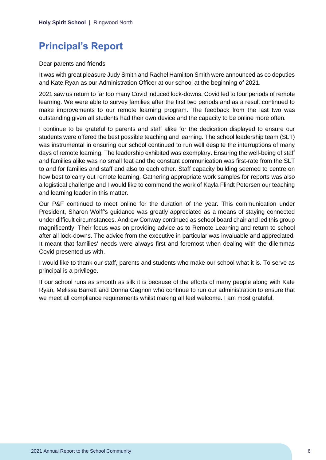# <span id="page-6-0"></span>**Principal's Report**

#### Dear parents and friends

It was with great pleasure Judy Smith and Rachel Hamilton Smith were announced as co deputies and Kate Ryan as our Administration Officer at our school at the beginning of 2021.

2021 saw us return to far too many Covid induced lock-downs. Covid led to four periods of remote learning. We were able to survey families after the first two periods and as a result continued to make improvements to our remote learning program. The feedback from the last two was outstanding given all students had their own device and the capacity to be online more often.

I continue to be grateful to parents and staff alike for the dedication displayed to ensure our students were offered the best possible teaching and learning. The school leadership team (SLT) was instrumental in ensuring our school continued to run well despite the interruptions of many days of remote learning. The leadership exhibited was exemplary. Ensuring the well-being of staff and families alike was no small feat and the constant communication was first-rate from the SLT to and for families and staff and also to each other. Staff capacity building seemed to centre on how best to carry out remote learning. Gathering appropriate work samples for reports was also a logistical challenge and I would like to commend the work of Kayla Flindt Petersen our teaching and learning leader in this matter.

Our P&F continued to meet online for the duration of the year. This communication under President, Sharon Wolff's guidance was greatly appreciated as a means of staying connected under difficult circumstances. Andrew Conway continued as school board chair and led this group magnificently. Their focus was on providing advice as to Remote Learning and return to school after all lock-downs. The advice from the executive in particular was invaluable and appreciated. It meant that families' needs were always first and foremost when dealing with the dilemmas Covid presented us with.

I would like to thank our staff, parents and students who make our school what it is. To serve as principal is a privilege.

If our school runs as smooth as silk it is because of the efforts of many people along with Kate Ryan, Melissa Barrett and Donna Gagnon who continue to run our administration to ensure that we meet all compliance requirements whilst making all feel welcome. I am most grateful.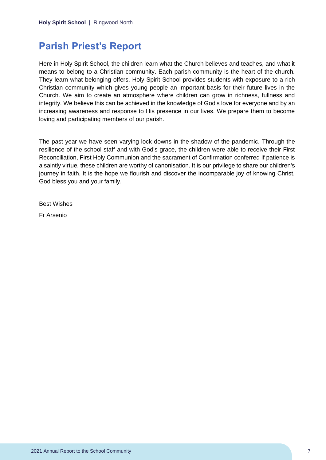### <span id="page-7-0"></span>**Parish Priest's Report**

Here in Holy Spirit School, the children learn what the Church believes and teaches, and what it means to belong to a Christian community. Each parish community is the heart of the church. They learn what belonging offers. Holy Spirit School provides students with exposure to a rich Christian community which gives young people an important basis for their future lives in the Church. We aim to create an atmosphere where children can grow in richness, fullness and integrity. We believe this can be achieved in the knowledge of God's love for everyone and by an increasing awareness and response to His presence in our lives. We prepare them to become loving and participating members of our parish.

The past year we have seen varying lock downs in the shadow of the pandemic. Through the resilience of the school staff and with God's grace, the children were able to receive their First Reconciliation, First Holy Communion and the sacrament of Confirmation conferred If patience is a saintly virtue, these children are worthy of canonisation. It is our privilege to share our children's journey in faith. It is the hope we flourish and discover the incomparable joy of knowing Christ. God bless you and your family.

Best Wishes

Fr Arsenio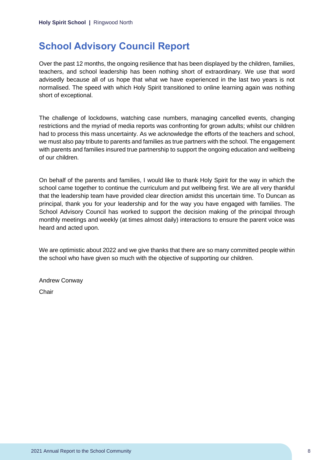# <span id="page-8-0"></span>**School Advisory Council Report**

Over the past 12 months, the ongoing resilience that has been displayed by the children, families, teachers, and school leadership has been nothing short of extraordinary. We use that word advisedly because all of us hope that what we have experienced in the last two years is not normalised. The speed with which Holy Spirit transitioned to online learning again was nothing short of exceptional.

The challenge of lockdowns, watching case numbers, managing cancelled events, changing restrictions and the myriad of media reports was confronting for grown adults; whilst our children had to process this mass uncertainty. As we acknowledge the efforts of the teachers and school, we must also pay tribute to parents and families as true partners with the school. The engagement with parents and families insured true partnership to support the ongoing education and wellbeing of our children.

On behalf of the parents and families, I would like to thank Holy Spirit for the way in which the school came together to continue the curriculum and put wellbeing first. We are all very thankful that the leadership team have provided clear direction amidst this uncertain time. To Duncan as principal, thank you for your leadership and for the way you have engaged with families. The School Advisory Council has worked to support the decision making of the principal through monthly meetings and weekly (at times almost daily) interactions to ensure the parent voice was heard and acted upon.

We are optimistic about 2022 and we give thanks that there are so many committed people within the school who have given so much with the objective of supporting our children.

Andrew Conway

**Chair**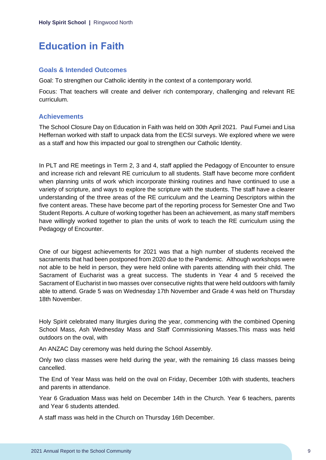# <span id="page-9-0"></span>**Education in Faith**

#### **Goals & Intended Outcomes**

Goal: To strengthen our Catholic identity in the context of a contemporary world.

Focus: That teachers will create and deliver rich contemporary, challenging and relevant RE curriculum.

#### **Achievements**

The School Closure Day on Education in Faith was held on 30th April 2021. Paul Fumei and Lisa Heffernan worked with staff to unpack data from the ECSI surveys. We explored where we were as a staff and how this impacted our goal to strengthen our Catholic Identity.

In PLT and RE meetings in Term 2, 3 and 4, staff applied the Pedagogy of Encounter to ensure and increase rich and relevant RE curriculum to all students. Staff have become more confident when planning units of work which incorporate thinking routines and have continued to use a variety of scripture, and ways to explore the scripture with the students. The staff have a clearer understanding of the three areas of the RE curriculum and the Learning Descriptors within the five content areas. These have become part of the reporting process for Semester One and Two Student Reports. A culture of working together has been an achievement, as many staff members have willingly worked together to plan the units of work to teach the RE curriculum using the Pedagogy of Encounter.

One of our biggest achievements for 2021 was that a high number of students received the sacraments that had been postponed from 2020 due to the Pandemic. Although workshops were not able to be held in person, they were held online with parents attending with their child. The Sacrament of Eucharist was a great success. The students in Year 4 and 5 received the Sacrament of Eucharist in two masses over consecutive nights that were held outdoors with family able to attend. Grade 5 was on Wednesday 17th November and Grade 4 was held on Thursday 18th November.

Holy Spirit celebrated many liturgies during the year, commencing with the combined Opening School Mass, Ash Wednesday Mass and Staff Commissioning Masses.This mass was held outdoors on the oval, with

An ANZAC Day ceremony was held during the School Assembly.

Only two class masses were held during the year, with the remaining 16 class masses being cancelled.

The End of Year Mass was held on the oval on Friday, December 10th with students, teachers and parents in attendance.

Year 6 Graduation Mass was held on December 14th in the Church. Year 6 teachers, parents and Year 6 students attended.

A staff mass was held in the Church on Thursday 16th December.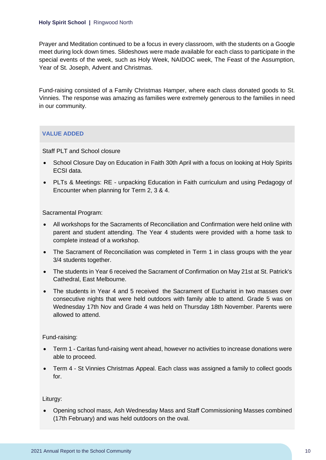Prayer and Meditation continued to be a focus in every classroom, with the students on a Google meet during lock down times. Slideshows were made available for each class to participate in the special events of the week, such as Holy Week, NAIDOC week, The Feast of the Assumption, Year of St. Joseph, Advent and Christmas.

Fund-raising consisted of a Family Christmas Hamper, where each class donated goods to St. Vinnies. The response was amazing as families were extremely generous to the families in need in our community.

#### **VALUE ADDED**

Staff PLT and School closure

- School Closure Day on Education in Faith 30th April with a focus on looking at Holy Spirits ECSI data.
- PLTs & Meetings: RE unpacking Education in Faith curriculum and using Pedagogy of Encounter when planning for Term 2, 3 & 4.

Sacramental Program:

- All workshops for the Sacraments of Reconciliation and Confirmation were held online with parent and student attending. The Year 4 students were provided with a home task to complete instead of a workshop.
- The Sacrament of Reconciliation was completed in Term 1 in class groups with the year 3/4 students together.
- The students in Year 6 received the Sacrament of Confirmation on May 21st at St. Patrick's Cathedral, East Melbourne.
- The students in Year 4 and 5 received the Sacrament of Eucharist in two masses over consecutive nights that were held outdoors with family able to attend. Grade 5 was on Wednesday 17th Nov and Grade 4 was held on Thursday 18th November. Parents were allowed to attend.

Fund-raising:

- Term 1 Caritas fund-raising went ahead, however no activities to increase donations were able to proceed.
- Term 4 St Vinnies Christmas Appeal. Each class was assigned a family to collect goods for.

Liturgy:

• Opening school mass, Ash Wednesday Mass and Staff Commissioning Masses combined (17th February) and was held outdoors on the oval.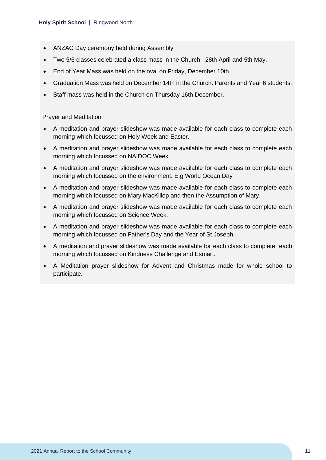- ANZAC Day ceremony held during Assembly
- Two 5/6 classes celebrated a class mass in the Church. 28th April and 5th May.
- End of Year Mass was held on the oval on Friday, December 10th
- Graduation Mass was held on December 14th in the Church. Parents and Year 6 students.
- Staff mass was held in the Church on Thursday 16th December.

Prayer and Meditation:

- A meditation and prayer slideshow was made available for each class to complete each morning which focussed on Holy Week and Easter.
- A meditation and prayer slideshow was made available for each class to complete each morning which focussed on NAIDOC Week.
- A meditation and prayer slideshow was made available for each class to complete each morning which focussed on the environment. E.g World Ocean Day
- A meditation and prayer slideshow was made available for each class to complete each morning which focussed on Mary MacKillop and then the Assumption of Mary.
- A meditation and prayer slideshow was made available for each class to complete each morning which focussed on Science Week.
- A meditation and prayer slideshow was made available for each class to complete each morning which focussed on Father's Day and the Year of St.Joseph.
- A meditation and prayer slideshow was made available for each class to complete each morning which focussed on Kindness Challenge and Esmart.
- A Meditation prayer slideshow for Advent and Christmas made for whole school to participate.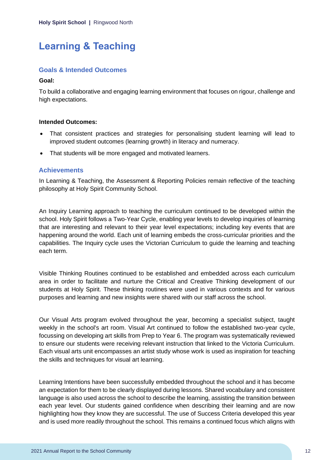# <span id="page-12-0"></span>**Learning & Teaching**

#### **Goals & Intended Outcomes**

#### **Goal:**

To build a collaborative and engaging learning environment that focuses on rigour, challenge and high expectations.

#### **Intended Outcomes:**

- That consistent practices and strategies for personalising student learning will lead to improved student outcomes (learning growth) in literacy and numeracy.
- That students will be more engaged and motivated learners.

#### **Achievements**

In Learning & Teaching, the Assessment & Reporting Policies remain reflective of the teaching philosophy at Holy Spirit Community School.

An Inquiry Learning approach to teaching the curriculum continued to be developed within the school. Holy Spirit follows a Two-Year Cycle, enabling year levels to develop inquiries of learning that are interesting and relevant to their year level expectations; including key events that are happening around the world. Each unit of learning embeds the cross-curricular priorities and the capabilities. The Inquiry cycle uses the Victorian Curriculum to guide the learning and teaching each term.

Visible Thinking Routines continued to be established and embedded across each curriculum area in order to facilitate and nurture the Critical and Creative Thinking development of our students at Holy Spirit. These thinking routines were used in various contexts and for various purposes and learning and new insights were shared with our staff across the school.

Our Visual Arts program evolved throughout the year, becoming a specialist subject, taught weekly in the school's art room. Visual Art continued to follow the established two-year cycle, focussing on developing art skills from Prep to Year 6. The program was systematically reviewed to ensure our students were receiving relevant instruction that linked to the Victoria Curriculum. Each visual arts unit encompasses an artist study whose work is used as inspiration for teaching the skills and techniques for visual art learning.

Learning Intentions have been successfully embedded throughout the school and it has become an expectation for them to be clearly displayed during lessons. Shared vocabulary and consistent language is also used across the school to describe the learning, assisting the transition between each year level. Our students gained confidence when describing their learning and are now highlighting how they know they are successful. The use of Success Criteria developed this year and is used more readily throughout the school. This remains a continued focus which aligns with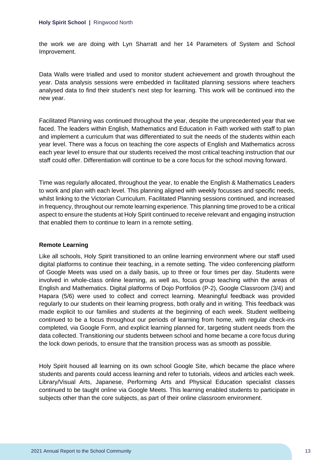the work we are doing with Lyn Sharratt and her 14 Parameters of System and School Improvement.

Data Walls were trialled and used to monitor student achievement and growth throughout the year. Data analysis sessions were embedded in facilitated planning sessions where teachers analysed data to find their student's next step for learning. This work will be continued into the new year.

Facilitated Planning was continued throughout the year, despite the unprecedented year that we faced. The leaders within English, Mathematics and Education in Faith worked with staff to plan and implement a curriculum that was differentiated to suit the needs of the students within each year level. There was a focus on teaching the core aspects of English and Mathematics across each year level to ensure that our students received the most critical teaching instruction that our staff could offer. Differentiation will continue to be a core focus for the school moving forward.

Time was regularly allocated, throughout the year, to enable the English & Mathematics Leaders to work and plan with each level. This planning aligned with weekly focusses and specific needs, whilst linking to the Victorian Curriculum. Facilitated Planning sessions continued, and increased in frequency, throughout our remote learning experience. This planning time proved to be a critical aspect to ensure the students at Holy Spirit continued to receive relevant and engaging instruction that enabled them to continue to learn in a remote setting.

#### **Remote Learning**

Like all schools, Holy Spirit transitioned to an online learning environment where our staff used digital platforms to continue their teaching, in a remote setting. The video conferencing platform of Google Meets was used on a daily basis, up to three or four times per day. Students were involved in whole-class online learning, as well as, focus group teaching within the areas of English and Mathematics. Digital platforms of Dojo Portfolios (P-2), Google Classroom (3/4) and Hapara (5/6) were used to collect and correct learning. Meaningful feedback was provided regularly to our students on their learning progress, both orally and in writing. This feedback was made explicit to our families and students at the beginning of each week. Student wellbeing continued to be a focus throughout our periods of learning from home, with regular check-ins completed, via Google Form, and explicit learning planned for, targeting student needs from the data collected. Transitioning our students between school and home became a core focus during the lock down periods, to ensure that the transition process was as smooth as possible.

Holy Spirit housed all learning on its own school Google Site, which became the place where students and parents could access learning and refer to tutorials, videos and articles each week. Library/Visual Arts, Japanese, Performing Arts and Physical Education specialist classes continued to be taught online via Google Meets. This learning enabled students to participate in subjects other than the core subjects, as part of their online classroom environment.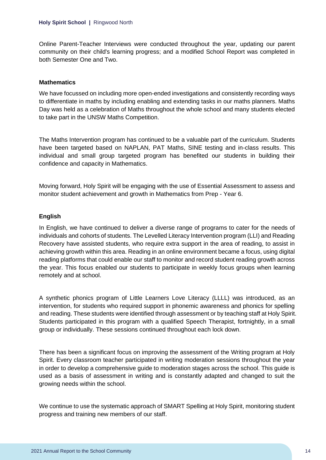Online Parent-Teacher Interviews were conducted throughout the year, updating our parent community on their child's learning progress; and a modified School Report was completed in both Semester One and Two.

#### **Mathematics**

We have focussed on including more open-ended investigations and consistently recording ways to differentiate in maths by including enabling and extending tasks in our maths planners. Maths Day was held as a celebration of Maths throughout the whole school and many students elected to take part in the UNSW Maths Competition.

The Maths Intervention program has continued to be a valuable part of the curriculum. Students have been targeted based on NAPLAN, PAT Maths, SINE testing and in-class results. This individual and small group targeted program has benefited our students in building their confidence and capacity in Mathematics.

Moving forward, Holy Spirit will be engaging with the use of Essential Assessment to assess and monitor student achievement and growth in Mathematics from Prep - Year 6.

#### **English**

In English, we have continued to deliver a diverse range of programs to cater for the needs of individuals and cohorts of students. The Levelled Literacy Intervention program (LLI) and Reading Recovery have assisted students, who require extra support in the area of reading, to assist in achieving growth within this area. Reading in an online environment became a focus, using digital reading platforms that could enable our staff to monitor and record student reading growth across the year. This focus enabled our students to participate in weekly focus groups when learning remotely and at school.

A synthetic phonics program of Little Learners Love Literacy (LLLL) was introduced, as an intervention, for students who required support in phonemic awareness and phonics for spelling and reading. These students were identified through assessment or by teaching staff at Holy Spirit. Students participated in this program with a qualified Speech Therapist, fortnightly, in a small group or individually. These sessions continued throughout each lock down.

There has been a significant focus on improving the assessment of the Writing program at Holy Spirit. Every classroom teacher participated in writing moderation sessions throughout the year in order to develop a comprehensive guide to moderation stages across the school. This guide is used as a basis of assessment in writing and is constantly adapted and changed to suit the growing needs within the school.

We continue to use the systematic approach of SMART Spelling at Holy Spirit, monitoring student progress and training new members of our staff.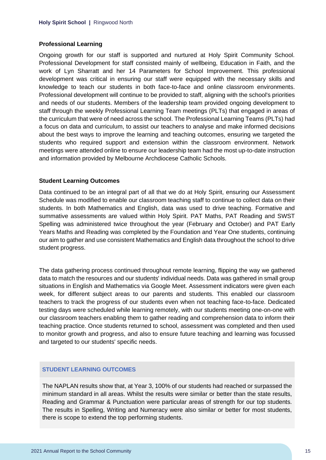#### **Professional Learning**

Ongoing growth for our staff is supported and nurtured at Holy Spirit Community School. Professional Development for staff consisted mainly of wellbeing, Education in Faith, and the work of Lyn Sharratt and her 14 Parameters for School Improvement. This professional development was critical in ensuring our staff were equipped with the necessary skills and knowledge to teach our students in both face-to-face and online classroom environments. Professional development will continue to be provided to staff, aligning with the school's priorities and needs of our students. Members of the leadership team provided ongoing development to staff through the weekly Professional Learning Team meetings (PLTs) that engaged in areas of the curriculum that were of need across the school. The Professional Learning Teams (PLTs) had a focus on data and curriculum, to assist our teachers to analyse and make informed decisions about the best ways to improve the learning and teaching outcomes, ensuring we targeted the students who required support and extension within the classroom environment. Network meetings were attended online to ensure our leadership team had the most up-to-date instruction and information provided by Melbourne Archdiocese Catholic Schools.

#### **Student Learning Outcomes**

Data continued to be an integral part of all that we do at Holy Spirit, ensuring our Assessment Schedule was modified to enable our classroom teaching staff to continue to collect data on their students. In both Mathematics and English, data was used to drive teaching. Formative and summative assessments are valued within Holy Spirit. PAT Maths, PAT Reading and SWST Spelling was administered twice throughout the year (February and October) and PAT Early Years Maths and Reading was completed by the Foundation and Year One students, continuing our aim to gather and use consistent Mathematics and English data throughout the school to drive student progress.

The data gathering process continued throughout remote learning, flipping the way we gathered data to match the resources and our students' individual needs. Data was gathered in small group situations in English and Mathematics via Google Meet. Assessment indicators were given each week, for different subject areas to our parents and students. This enabled our classroom teachers to track the progress of our students even when not teaching face-to-face. Dedicated testing days were scheduled while learning remotely, with our students meeting one-on-one with our classroom teachers enabling them to gather reading and comprehension data to inform their teaching practice. Once students returned to school, assessment was completed and then used to monitor growth and progress, and also to ensure future teaching and learning was focussed and targeted to our students' specific needs.

#### **STUDENT LEARNING OUTCOMES**

The NAPLAN results show that, at Year 3, 100% of our students had reached or surpassed the minimum standard in all areas. Whilst the results were similar or better than the state results, Reading and Grammar & Punctuation were particular areas of strength for our top students. The results in Spelling, Writing and Numeracy were also similar or better for most students, there is scope to extend the top performing students.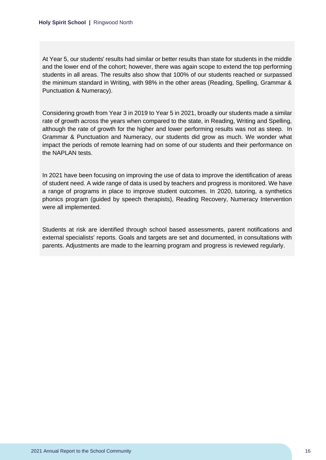At Year 5, our students' results had similar or better results than state for students in the middle and the lower end of the cohort; however, there was again scope to extend the top performing students in all areas. The results also show that 100% of our students reached or surpassed the minimum standard in Writing, with 98% in the other areas (Reading, Spelling, Grammar & Punctuation & Numeracy).

Considering growth from Year 3 in 2019 to Year 5 in 2021, broadly our students made a similar rate of growth across the years when compared to the state, in Reading, Writing and Spelling, although the rate of growth for the higher and lower performing results was not as steep. In Grammar & Punctuation and Numeracy, our students did grow as much. We wonder what impact the periods of remote learning had on some of our students and their performance on the NAPLAN tests.

In 2021 have been focusing on improving the use of data to improve the identification of areas of student need. A wide range of data is used by teachers and progress is monitored. We have a range of programs in place to improve student outcomes. In 2020, tutoring, a synthetics phonics program (guided by speech therapists), Reading Recovery, Numeracy Intervention were all implemented.

Students at risk are identified through school based assessments, parent notifications and external specialists' reports. Goals and targets are set and documented, in consultations with parents. Adjustments are made to the learning program and progress is reviewed regularly.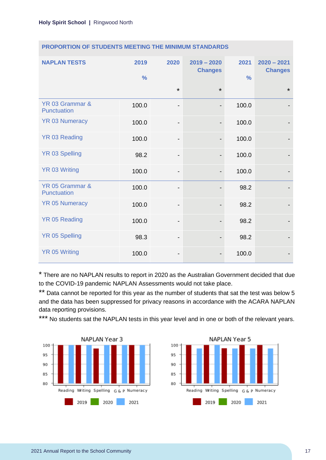| <b>NAPLAN TESTS</b>            | 2019<br>$\frac{9}{6}$ | 2020                         | $2019 - 2020$<br><b>Changes</b> | 2021<br>$\frac{0}{0}$ | $2020 - 2021$<br><b>Changes</b> |
|--------------------------------|-----------------------|------------------------------|---------------------------------|-----------------------|---------------------------------|
|                                |                       | $\star$                      | $\star$                         |                       | $\star$                         |
| YR 03 Grammar &<br>Punctuation | 100.0                 | $\qquad \qquad \blacksquare$ | $\overline{\phantom{a}}$        | 100.0                 |                                 |
| <b>YR 03 Numeracy</b>          | 100.0                 | -                            |                                 | 100.0                 |                                 |
| <b>YR 03 Reading</b>           | 100.0                 | -                            |                                 | 100.0                 |                                 |
| <b>YR 03 Spelling</b>          | 98.2                  | $\qquad \qquad \blacksquare$ | $\overline{\phantom{a}}$        | 100.0                 |                                 |
| YR 03 Writing                  | 100.0                 | $\qquad \qquad \blacksquare$ |                                 | 100.0                 |                                 |
| YR 05 Grammar &<br>Punctuation | 100.0                 | -                            |                                 | 98.2                  |                                 |
| <b>YR 05 Numeracy</b>          | 100.0                 | $\qquad \qquad \blacksquare$ |                                 | 98.2                  |                                 |
| <b>YR 05 Reading</b>           | 100.0                 | $\qquad \qquad \blacksquare$ |                                 | 98.2                  |                                 |
| <b>YR 05 Spelling</b>          | 98.3                  | -                            |                                 | 98.2                  |                                 |
| <b>YR 05 Writing</b>           | 100.0                 | -                            |                                 | 100.0                 |                                 |

#### **PROPORTION OF STUDENTS MEETING THE MINIMUM STANDARDS**

\* There are no NAPLAN results to report in 2020 as the Australian Government decided that due to the COVID-19 pandemic NAPLAN Assessments would not take place.

\*\* Data cannot be reported for this year as the number of students that sat the test was below 5 and the data has been suppressed for privacy reasons in accordance with the ACARA NAPLAN data reporting provisions.

\*\*\* No students sat the NAPLAN tests in this year level and in one or both of the relevant years.



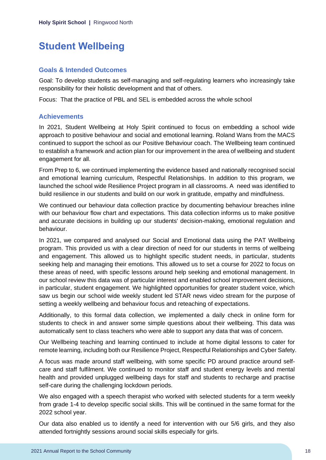# <span id="page-18-0"></span>**Student Wellbeing**

#### **Goals & Intended Outcomes**

Goal: To develop students as self-managing and self-regulating learners who increasingly take responsibility for their holistic development and that of others.

Focus: That the practice of PBL and SEL is embedded across the whole school

#### **Achievements**

In 2021, Student Wellbeing at Holy Spirit continued to focus on embedding a school wide approach to positive behaviour and social and emotional learning. Roland Wans from the MACS continued to support the school as our Positive Behaviour coach. The Wellbeing team continued to establish a framework and action plan for our improvement in the area of wellbeing and student engagement for all.

From Prep to 6, we continued implementing the evidence based and nationally recognised social and emotional learning curriculum, Respectful Relationships. In addition to this program, we launched the school wide Resilience Project program in all classrooms. A need was identified to build resilience in our students and build on our work in gratitude, empathy and mindfulness.

We continued our behaviour data collection practice by documenting behaviour breaches inline with our behaviour flow chart and expectations. This data collection informs us to make positive and accurate decisions in building up our students' decision-making, emotional regulation and behaviour.

In 2021, we compared and analysed our Social and Emotional data using the PAT Wellbeing program. This provided us with a clear direction of need for our students in terms of wellbeing and engagement. This allowed us to highlight specific student needs, in particular, students seeking help and managing their emotions. This allowed us to set a course for 2022 to focus on these areas of need, with specific lessons around help seeking and emotional management. In our school review this data was of particular interest and enabled school improvement decisions, in particular, student engagement. We highlighted opportunities for greater student voice, which saw us begin our school wide weekly student led STAR news video stream for the purpose of setting a weekly wellbeing and behaviour focus and reteaching of expectations.

Additionally, to this formal data collection, we implemented a daily check in online form for students to check in and answer some simple questions about their wellbeing. This data was automatically sent to class teachers who were able to support any data that was of concern.

Our Wellbeing teaching and learning continued to include at home digital lessons to cater for remote learning, including both our Resilience Project, Respectful Relationships and Cyber Safety.

A focus was made around staff wellbeing, with some specific PD around practice around selfcare and staff fulfilment. We continued to monitor staff and student energy levels and mental health and provided unplugged wellbeing days for staff and students to recharge and practise self-care during the challenging lockdown periods.

We also engaged with a speech therapist who worked with selected students for a term weekly from grade 1-4 to develop specific social skills. This will be continued in the same format for the 2022 school year.

Our data also enabled us to identify a need for intervention with our 5/6 girls, and they also attended fortnightly sessions around social skills especially for girls.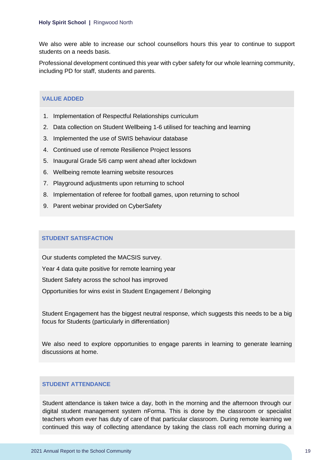We also were able to increase our school counsellors hours this year to continue to support students on a needs basis.

Professional development continued this year with cyber safety for our whole learning community, including PD for staff, students and parents.

#### **VALUE ADDED**

- 1. Implementation of Respectful Relationships curriculum
- 2. Data collection on Student Wellbeing 1-6 utilised for teaching and learning
- 3. Implemented the use of SWIS behaviour database
- 4. Continued use of remote Resilience Project lessons
- 5. Inaugural Grade 5/6 camp went ahead after lockdown
- 6. Wellbeing remote learning website resources
- 7. Playground adjustments upon returning to school
- 8. Implementation of referee for football games, upon returning to school
- 9. Parent webinar provided on CyberSafety

#### **STUDENT SATISFACTION**

Our students completed the MACSIS survey.

Year 4 data quite positive for remote learning year

Student Safety across the school has improved

Opportunities for wins exist in Student Engagement / Belonging

Student Engagement has the biggest neutral response, which suggests this needs to be a big focus for Students (particularly in differentiation)

We also need to explore opportunities to engage parents in learning to generate learning discussions at home.

#### **STUDENT ATTENDANCE**

Student attendance is taken twice a day, both in the morning and the afternoon through our digital student management system nForma. This is done by the classroom or specialist teachers whom ever has duty of care of that particular classroom. During remote learning we continued this way of collecting attendance by taking the class roll each morning during a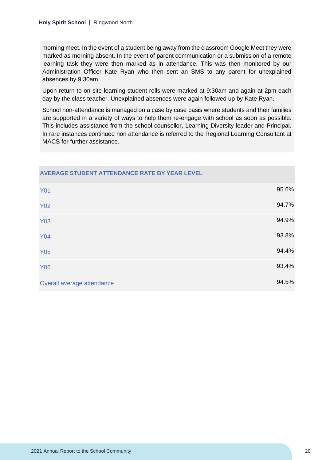morning meet. In the event of a student being away from the classroom Google Meet they were marked as morning absent. In the event of parent communication or a submission of a remote learning task they were then marked as in attendance. This was then monitored by our Administration Officer Kate Ryan who then sent an SMS to any parent for unexplained absences by 9:30am.

Upon return to on-site learning student rolls were marked at 9:30am and again at 2pm each day by the class teacher. Unexplained absences were again followed up by Kate Ryan.

School non-attendance is managed on a case by case basis where students and their families are supported in a variety of ways to help them re-engage with school as soon as possible. This includes assistance from the school counsellor, Learning Diversity leader and Principal. In rare instances continued non attendance is referred to the Regional Learning Consultant at MACS for further assistance.

| <b>Y01</b>                 | 95.6% |
|----------------------------|-------|
| <b>Y02</b>                 | 94.7% |
| <b>Y03</b>                 | 94.9% |
| <b>Y04</b>                 | 93.8% |
| <b>Y05</b>                 | 94.4% |
| <b>Y06</b>                 | 93.4% |
| Overall average attendance | 94.5% |

#### **AVERAGE STUDENT ATTENDANCE RATE BY YEAR LEVEL**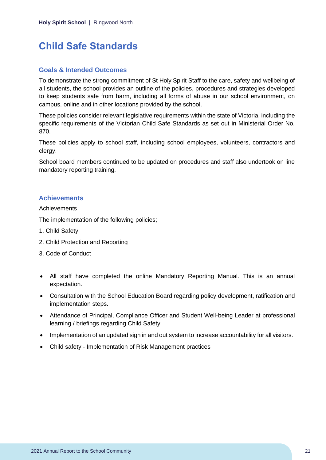### <span id="page-21-0"></span>**Child Safe Standards**

#### **Goals & Intended Outcomes**

To demonstrate the strong commitment of St Holy Spirit Staff to the care, safety and wellbeing of all students, the school provides an outline of the policies, procedures and strategies developed to keep students safe from harm, including all forms of abuse in our school environment, on campus, online and in other locations provided by the school.

These policies consider relevant legislative requirements within the state of Victoria, including the specific requirements of the Victorian Child Safe Standards as set out in Ministerial Order No. 870.

These policies apply to school staff, including school employees, volunteers, contractors and clergy.

School board members continued to be updated on procedures and staff also undertook on line mandatory reporting training.

#### **Achievements**

**Achievements** 

The implementation of the following policies;

- 1. Child Safety
- 2. Child Protection and Reporting
- 3. Code of Conduct
- All staff have completed the online Mandatory Reporting Manual. This is an annual expectation.
- Consultation with the School Education Board regarding policy development, ratification and implementation steps.
- Attendance of Principal, Compliance Officer and Student Well-being Leader at professional learning / briefings regarding Child Safety
- Implementation of an updated sign in and out system to increase accountability for all visitors.
- Child safety Implementation of Risk Management practices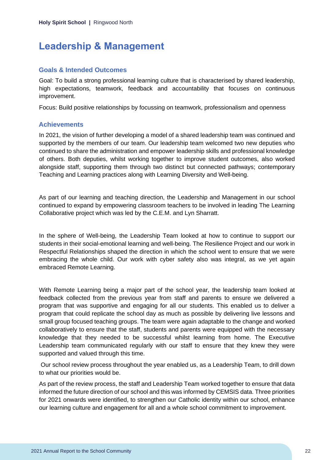### <span id="page-22-0"></span>**Leadership & Management**

#### **Goals & Intended Outcomes**

Goal: To build a strong professional learning culture that is characterised by shared leadership, high expectations, teamwork, feedback and accountability that focuses on continuous improvement.

Focus: Build positive relationships by focussing on teamwork, professionalism and openness

#### **Achievements**

In 2021, the vision of further developing a model of a shared leadership team was continued and supported by the members of our team. Our leadership team welcomed two new deputies who continued to share the administration and empower leadership skills and professional knowledge of others. Both deputies, whilst working together to improve student outcomes, also worked alongside staff, supporting them through two distinct but connected pathways; contemporary Teaching and Learning practices along with Learning Diversity and Well-being.

As part of our learning and teaching direction, the Leadership and Management in our school continued to expand by empowering classroom teachers to be involved in leading The Learning Collaborative project which was led by the C.E.M. and Lyn Sharratt.

In the sphere of Well-being, the Leadership Team looked at how to continue to support our students in their social-emotional learning and well-being. The Resilience Project and our work in Respectful Relationships shaped the direction in which the school went to ensure that we were embracing the whole child. Our work with cyber safety also was integral, as we yet again embraced Remote Learning.

With Remote Learning being a major part of the school year, the leadership team looked at feedback collected from the previous year from staff and parents to ensure we delivered a program that was supportive and engaging for all our students. This enabled us to deliver a program that could replicate the school day as much as possible by delivering live lessons and small group focused teaching groups. The team were again adaptable to the change and worked collaboratively to ensure that the staff, students and parents were equipped with the necessary knowledge that they needed to be successful whilst learning from home. The Executive Leadership team communicated regularly with our staff to ensure that they knew they were supported and valued through this time.

Our school review process throughout the year enabled us, as a Leadership Team, to drill down to what our priorities would be.

As part of the review process, the staff and Leadership Team worked together to ensure that data informed the future direction of our school and this was informed by CEMSIS data. Three priorities for 2021 onwards were identified, to strengthen our Catholic identity within our school, enhance our learning culture and engagement for all and a whole school commitment to improvement.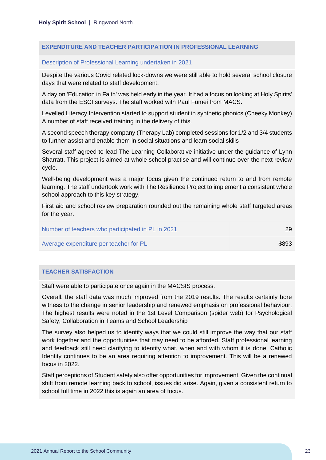#### **EXPENDITURE AND TEACHER PARTICIPATION IN PROFESSIONAL LEARNING**

#### Description of Professional Learning undertaken in 2021

Despite the various Covid related lock-downs we were still able to hold several school closure days that were related to staff development.

A day on 'Education in Faith' was held early in the year. It had a focus on looking at Holy Spirits' data from the ESCI surveys. The staff worked with Paul Fumei from MACS.

Levelled Literacy Intervention started to support student in synthetic phonics (Cheeky Monkey) A number of staff received training in the delivery of this.

A second speech therapy company (Therapy Lab) completed sessions for 1/2 and 3/4 students to further assist and enable them in social situations and learn social skills

Several staff agreed to lead The Learning Collaborative initiative under the guidance of Lynn Sharratt. This project is aimed at whole school practise and will continue over the next review cycle.

Well-being development was a major focus given the continued return to and from remote learning. The staff undertook work with The Resilience Project to implement a consistent whole school approach to this key strategy.

First aid and school review preparation rounded out the remaining whole staff targeted areas for the year.

| Number of teachers who participated in PL in 2021 | 29    |
|---------------------------------------------------|-------|
| Average expenditure per teacher for PL            | \$893 |

#### **TEACHER SATISFACTION**

Staff were able to participate once again in the MACSIS process.

Overall, the staff data was much improved from the 2019 results. The results certainly bore witness to the change in senior leadership and renewed emphasis on professional behaviour, The highest results were noted in the 1st Level Comparison (spider web) for Psychological Safety, Collaboration in Teams and School Leadership

The survey also helped us to identify ways that we could still improve the way that our staff work together and the opportunities that may need to be afforded. Staff professional learning and feedback still need clarifying to identify what, when and with whom it is done. Catholic Identity continues to be an area requiring attention to improvement. This will be a renewed focus in 2022.

Staff perceptions of Student safety also offer opportunities for improvement. Given the continual shift from remote learning back to school, issues did arise. Again, given a consistent return to school full time in 2022 this is again an area of focus.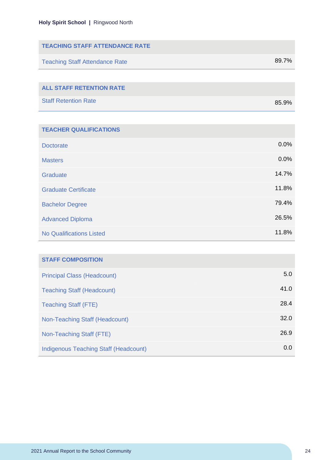| <b>TEACHING STAFF ATTENDANCE RATE</b> |       |
|---------------------------------------|-------|
| <b>Teaching Staff Attendance Rate</b> | 89.7% |
|                                       |       |
| <b>ALL STAFF RETENTION RATE</b>       |       |
| <b>Staff Retention Rate</b>           | 85.9% |

| <b>TEACHER QUALIFICATIONS</b>   |       |
|---------------------------------|-------|
| <b>Doctorate</b>                | 0.0%  |
| <b>Masters</b>                  | 0.0%  |
| Graduate                        | 14.7% |
| <b>Graduate Certificate</b>     | 11.8% |
| <b>Bachelor Degree</b>          | 79.4% |
| <b>Advanced Diploma</b>         | 26.5% |
| <b>No Qualifications Listed</b> | 11.8% |

| <b>STAFF COMPOSITION</b>              |      |
|---------------------------------------|------|
| <b>Principal Class (Headcount)</b>    | 5.0  |
| <b>Teaching Staff (Headcount)</b>     | 41.0 |
| <b>Teaching Staff (FTE)</b>           | 28.4 |
| Non-Teaching Staff (Headcount)        | 32.0 |
| Non-Teaching Staff (FTE)              | 26.9 |
| Indigenous Teaching Staff (Headcount) | 0.0  |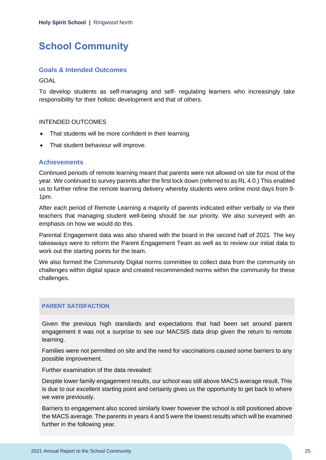# <span id="page-25-0"></span>**School Community**

#### **Goals & Intended Outcomes**

GOAL

To develop students as self-managing and self- regulating learners who increasingly take responsibility for their holistic development and that of others.

#### INTENDED OUTCOMES

- That students will be more confident in their learning.
- That student behaviour will improve.

#### **Achievements**

Continued periods of remote learning meant that parents were not allowed on site for most of the year. We continued to survey parents after the first lock down (referred to as RL 4.0.) This enabled us to further refine the remote learning delivery whereby students were online most days from 9- 1pm.

After each period of Remote Learning a majority of parents indicated either verbally or via their teachers that managing student well-being should be our priority. We also surveyed with an emphasis on how we would do this.

Parental Engagement data was also shared with the board in the second half of 2021. The key takeaways were to reform the Parent Engagement Team as well as to review our initial data to work out the starting points for the team.

We also formed the Community Digital norms committee to collect data from the community on challenges within digital space and created recommended norms within the community for these challenges.

#### **PARENT SATISFACTION**

Given the previous high standards and expectations that had been set around parent engagement it was not a surprise to see our MACSIS data drop given the return to remote learning.

Families were not permitted on site and the need for vaccinations caused some barriers to any possible improvement.

Further examination of the data revealed:

Despite lower family engagement results, our school was still above MACS average result, This is due to our excellent starting point and certainly gives us the opportunity to get back to where we were previously.

Barriers to engagement also scored similarly lower however the school is still positioned above the MACS average. The parents in years 4 and 5 were the lowest results which will be examined further in the following year.